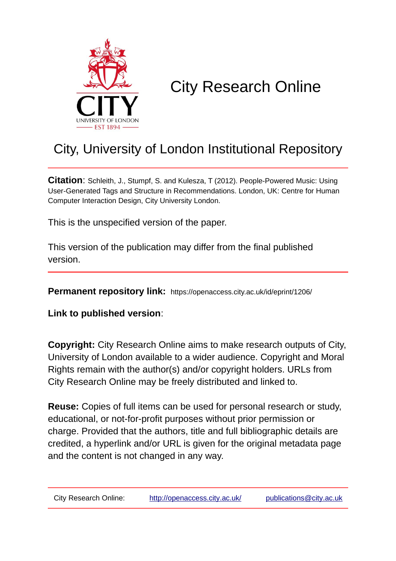

# City Research Online

## City, University of London Institutional Repository

**Citation**: Schleith, J., Stumpf, S. and Kulesza, T (2012). People-Powered Music: Using User-Generated Tags and Structure in Recommendations. London, UK: Centre for Human Computer Interaction Design, City University London.

This is the unspecified version of the paper.

This version of the publication may differ from the final published version.

**Permanent repository link:** https://openaccess.city.ac.uk/id/eprint/1206/

**Link to published version**:

**Copyright:** City Research Online aims to make research outputs of City, University of London available to a wider audience. Copyright and Moral Rights remain with the author(s) and/or copyright holders. URLs from City Research Online may be freely distributed and linked to.

**Reuse:** Copies of full items can be used for personal research or study, educational, or not-for-profit purposes without prior permission or charge. Provided that the authors, title and full bibliographic details are credited, a hyperlink and/or URL is given for the original metadata page and the content is not changed in any way.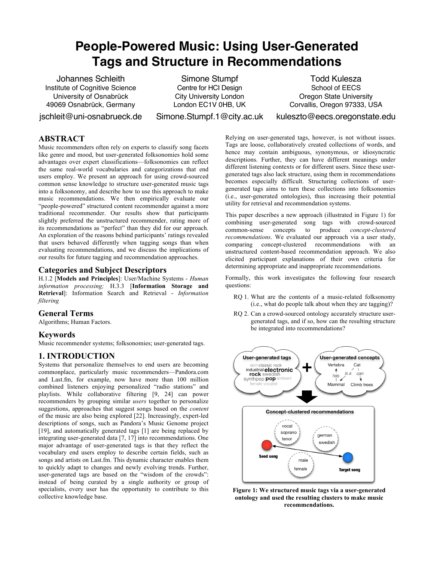## **People-Powered Music: Using User-Generated Tags and Structure in Recommendations**

Institute of Cognitive Science University of Osnabrück 49069 Osnabrück, Germany

Johannes Schleith Simone Stumpf Todd Kulesza Centre for HCI Design City University London London EC1V 0HB, UK

jschleit@uni-osnabrueck.de Simone.Stumpf.1@city.ac.uk kuleszto@eecs.oregonstate.edu

School of EECS Oregon State University Corvallis, Oregon 97333, USA

## **ABSTRACT**

Music recommenders often rely on experts to classify song facets like genre and mood, but user-generated folksonomies hold some advantages over expert classifications—folksonomies can reflect the same real-world vocabularies and categorizations that end users employ. We present an approach for using crowd-sourced common sense knowledge to structure user-generated music tags into a folksonomy, and describe how to use this approach to make music recommendations. We then empirically evaluate our "people-powered" structured content recommender against a more traditional recommender. Our results show that participants slightly preferred the unstructured recommender, rating more of its recommendations as "perfect" than they did for our approach. An exploration of the reasons behind participants' ratings revealed that users behaved differently when tagging songs than when evaluating recommendations, and we discuss the implications of our results for future tagging and recommendation approaches.

## **Categories and Subject Descriptors**

H.1.2 [**Models and Principles**]: User/Machine Systems - *Human information processing;* H.3.3 [**Information Storage and Retrieval**]: Information Search and Retrieval - *Information filtering*

## **General Terms**

Algorithms; Human Factors.

## **Keywords**

Music recommender systems; folksonomies; user-generated tags.

## **1. INTRODUCTION**

Systems that personalize themselves to end users are becoming commonplace, particularly music recommenders—Pandora.com and Last.fm, for example, now have more than 100 million combined listeners enjoying personalized "radio stations" and playlists. While collaborative filtering [9, 24] can power recommenders by grouping similar *users* together to personalize suggestions, approaches that suggest songs based on the *content* of the music are also being explored [22]. Increasingly, expert-led descriptions of songs, such as Pandora's Music Genome project [19], and automatically generated tags [1] are being replaced by integrating user-generated data [7, 17] into recommendations. One major advantage of user-generated tags is that they reflect the vocabulary end users employ to describe certain fields, such as songs and artists on Last.fm. This dynamic character enables them to quickly adapt to changes and newly evolving trends. Further, user-generated tags are based on the "wisdom of the crowds": instead of being curated by a single authority or group of specialists, every user has the opportunity to contribute to this collective knowledge base.

Relying on user-generated tags, however, is not without issues. Tags are loose, collaboratively created collections of words, and hence may contain ambiguous, synonymous, or idiosyncratic descriptions. Further, they can have different meanings under different listening contexts or for different users. Since these usergenerated tags also lack structure, using them in recommendations becomes especially difficult. Structuring collections of usergenerated tags aims to turn these collections into folksonomies (i.e., user-generated ontologies), thus increasing their potential utility for retrieval and recommendation systems.

This paper describes a new approach (illustrated in Figure 1) for combining user-generated song tags with crowd-sourced common-sense concepts to produce *concept-clustered recommendations*. We evaluated our approach via a user study, comparing concept-clustered recommendations with an unstructured content-based recommendation approach. We also elicited participant explanations of their own criteria for determining appropriate and inappropriate recommendations.

Formally, this work investigates the following four research questions:

- RQ 1. What are the contents of a music-related folksonomy (i.e., what do people talk about when they are tagging)?
- RQ 2. Can a crowd-sourced ontology accurately structure usergenerated tags, and if so, how can the resulting structure be integrated into recommendations?



**Figure 1: We structured music tags via a user-generated ontology and used the resulting clusters to make music recommendations.**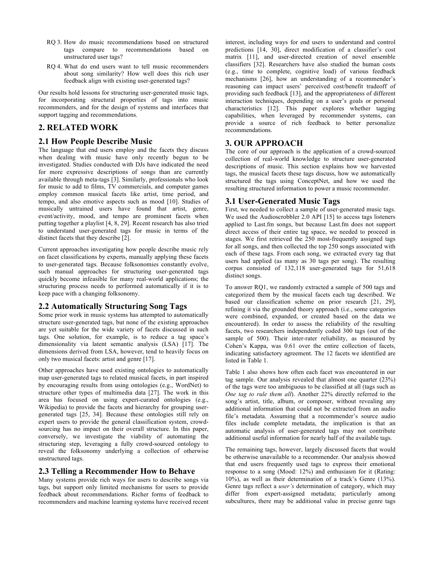- RQ 3. How do music recommendations based on structured tags compare to recommendations based on unstructured user tags?
- RQ 4. What do end users want to tell music recommenders about song similarity? How well does this rich user feedback align with existing user-generated tags?

Our results hold lessons for structuring user-generated music tags, for incorporating structural properties of tags into music recommenders, and for the design of systems and interfaces that support tagging and recommendations.

## **2. RELATED WORK**

## **2.1 How People Describe Music**

The language that end users employ and the facets they discuss when dealing with music have only recently begun to be investigated. Studies conducted with DJs have indicated the need for more expressive descriptions of songs than are currently available through meta-tags [3]. Similarly, professionals who look for music to add to films, TV commercials, and computer games employ common musical facets like artist, time period, and tempo, and also emotive aspects such as mood [10]. Studies of musically untrained users have found that artist, genre, event/activity, mood, and tempo are prominent facets when putting together a playlist [4, 8, 29]. Recent research has also tried to understand user-generated tags for music in terms of the distinct facets that they describe [2].

Current approaches investigating how people describe music rely on facet classifications by experts, manually applying these facets to user-generated tags. Because folksonomies constantly evolve, such manual approaches for structuring user-generated tags quickly become infeasible for many real-world applications; the structuring process needs to performed automatically if it is to keep pace with a changing folksonomy.

## **2.2 Automatically Structuring Song Tags**

Some prior work in music systems has attempted to automatically structure user-generated tags, but none of the existing approaches are yet suitable for the wide variety of facets discussed in such tags. One solution, for example, is to reduce a tag space's dimensionality via latent semantic analysis (LSA) [17]. The dimensions derived from LSA, however, tend to heavily focus on only two musical facets: artist and genre [17].

Other approaches have used existing ontologies to automatically map user-generated tags to related musical facets, in part inspired by encouraging results from using ontologies (e.g., WordNet) to structure other types of multimedia data [27]. The work in this area has focused on using expert-curated ontologies (e.g., Wikipedia) to provide the facets and hierarchy for grouping usergenerated tags [25, 34]. Because these ontologies still rely on expert users to provide the general classification system, crowdsourcing has no impact on their overall structure. In this paper, conversely, we investigate the viability of automating the structuring step, leveraging a fully crowd-sourced ontology to reveal the folksonomy underlying a collection of otherwise unstructured tags.

## **2.3 Telling a Recommender How to Behave**

Many systems provide rich ways for users to describe songs via tags, but support only limited mechanisms for users to provide feedback about recommendations. Richer forms of feedback to recommenders and machine learning systems have received recent

interest, including ways for end users to understand and control predictions [14, 30], direct modification of a classifier's cost matrix [11], and user-directed creation of novel ensemble classifiers [32]. Researchers have also studied the human costs (e.g., time to complete, cognitive load) of various feedback mechanisms [26], how an understanding of a recommender's reasoning can impact users' perceived cost/benefit tradeoff of providing such feedback [13], and the appropriateness of different interaction techniques, depending on a user's goals or personal characteristics [12]. This paper explores whether tagging capabilities, when leveraged by recommender systems, can provide a source of rich feedback to better personalize recommendations.

## **3. OUR APPROACH**

The core of our approach is the application of a crowd-sourced collection of real-world knowledge to structure user-generated descriptions of music. This section explains how we harvested tags, the musical facets these tags discuss, how we automatically structured the tags using ConceptNet, and how we used the resulting structured information to power a music recommender.

## **3.1 User-Generated Music Tags**

First, we needed to collect a sample of user-generated music tags. We used the Audioscrobbler 2.0 API [15] to access tags listeners applied to Last.fm songs, but because Last.fm does not support direct access of their entire tag space, we needed to proceed in stages. We first retrieved the 250 most-frequently assigned tags for all songs, and then collected the top 250 songs associated with each of these tags. From each song, we extracted every tag that users had applied (as many as 30 tags per song). The resulting corpus consisted of 132,118 user-generated tags for 51,618 distinct songs.

To answer RQ1, we randomly extracted a sample of 500 tags and categorized them by the musical facets each tag described. We based our classification scheme on prior research [21, 29], refining it via the grounded theory approach (i.e., some categories were combined, expanded, or created based on the data we encountered). In order to assess the reliability of the resulting facets, two researchers independently coded 300 tags (out of the sample of 500). Their inter-rater reliability, as measured by Cohen's Kappa, was 0.61 over the entire collection of facets, indicating satisfactory agreement. The 12 facets we identified are listed in Table 1.

Table 1 also shows how often each facet was encountered in our tag sample. Our analysis revealed that almost one quarter (23%) of the tags were too ambiguous to be classified at all (tags such as *One tag to rule them all*). Another 22% directly referred to the song's artist, title, album, or composer, without revealing any additional information that could not be extracted from an audio file's metadata. Assuming that a recommender's source audio files include complete metadata, the implication is that an automatic analysis of user-generated tags may not contribute additional useful information for nearly half of the available tags.

The remaining tags, however, largely discussed facets that would be otherwise unavailable to a recommender. Our analysis showed that end users frequently used tags to express their emotional response to a song (Mood: 12%) and enthusiasm for it (Rating: 10%), as well as their determination of a track's Genre (13%). Genre tags reflect a *user's* determination of category, which may differ from expert-assigned metadata; particularly among subcultures, there may be additional value in precise genre tags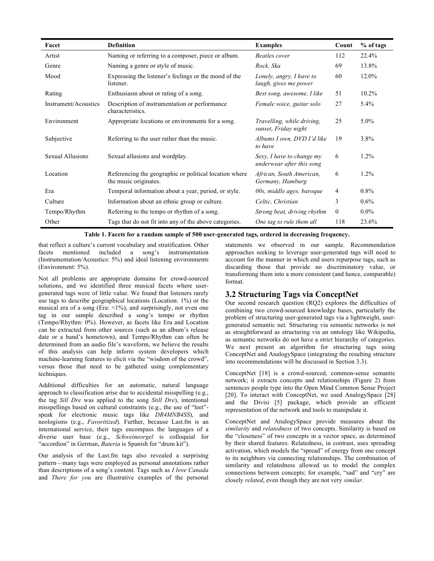| Facet                   | <b>Definition</b>                                                               | <b>Examples</b>                                        | Count        | % of tags |
|-------------------------|---------------------------------------------------------------------------------|--------------------------------------------------------|--------------|-----------|
| Artist                  | Naming or referring to a composer, piece or album.                              | Beatles cover                                          | 112          | 22.4%     |
| Genre                   | Naming a genre or style of music.                                               | Rock, Ska                                              | 69           | 13.8%     |
| Mood                    | Expressing the listener's feelings or the mood of the<br>listener.              | Lonely, angry, I have to<br>laugh, gives me power      | 60           | 12.0%     |
| Rating                  | Enthusiasm about or rating of a song.                                           | Best song, awesome, I like                             | 51           | 10.2%     |
| Instrument/Acoustics    | Description of instrumentation or performance<br>characteristics.               | Female voice, guitar solo                              | 27           | 5.4%      |
| Environment             | Appropriate locations or environments for a song.                               | Travelling, while driving,<br>sunset, Friday night     | 25           | $5.0\%$   |
| Subjective              | Referring to the user rather than the music.                                    | Albums I own, DVD I'd like<br>to have                  | 19           | 3.8%      |
| <b>Sexual Allusions</b> | Sexual allusions and wordplay.                                                  | Sexy, I have to change my<br>underwear after this song | 6            | 1.2%      |
| Location                | Referencing the geographic or political location where<br>the music originates. | African, South American,<br>Germany, Hamburg           | 6            | 1.2%      |
| Era                     | Temporal information about a year, period, or style.                            | 00s, middle ages, baroque                              | 4            | $0.8\%$   |
| Culture                 | Information about an ethnic group or culture.                                   | Celtic, Christian                                      | 3            | $0.6\%$   |
| Tempo/Rhythm            | Referring to the tempo or rhythm of a song.                                     | Strong beat, driving rhythm                            | $\mathbf{0}$ | $0.0\%$   |
| Other                   | Tags that do not fit into any of the above categories.                          | One tag to rule them all                               | 118          | 23.6%     |

**Table 1. Facets for a random sample of 500 user-generated tags, ordered in decreasing frequency.** 

that reflect a culture's current vocabulary and stratification. Other facets mentioned included a song's instrumentation (Instrumentation/Acoustics: 5%) and ideal listening environments (Environment: 5%).

Not all problems are appropriate domains for crowd-sourced solutions, and we identified three musical facets where usergenerated tags were of little value. We found that listeners rarely use tags to describe geographical locations (Location: 1%) or the musical era of a song (Era:  $\langle 1\%$ ), and surprisingly, not even one tag in our sample described a song's tempo or rhythm (Tempo/Rhythm: 0%). However, as facets like Era and Location can be extracted from other sources (such as an album's release date or a band's hometown), and Tempo/Rhythm can often be determined from an audio file's waveform, we believe the results of this analysis can help inform system developers which machine-learning features to elicit via the "wisdom of the crowd", versus those that need to be gathered using complementary techniques.

Additional difficulties for an automatic, natural language approach to classification arise due to accidental misspelling (e.g., the tag *Sill Dre* was applied to the song *Still Dre*), intentional misspellings based on cultural constraints (e.g., the use of "leet" speak for electronic music tags like *DR4MNB4SS*), and neologisms (e.g., *Favoritized*). Further, because Last.fm is an international service, their tags encompass the languages of a diverse user base (e.g., *Schweineorgel* is colloquial for "accordion" in German, *Bateria* is Spanish for "drum kit").

Our analysis of the Last.fm tags also revealed a surprising pattern—many tags were employed as personal annotations rather than descriptions of a song's content. Tags such as *I love Canada* and *There for you* are illustrative examples of the personal statements we observed in our sample. Recommendation approaches seeking to leverage user-generated tags will need to account for the manner in which end users repurpose tags, such as discarding those that provide no discriminatory value, or transforming them into a more consistent (and hence, comparable) format.

## **3.2 Structuring Tags via ConceptNet**

Our second research question (RQ2) explores the difficulties of combining two crowd-sourced knowledge bases, particularly the problem of structuring user-generated tags via a lightweight, usergenerated semantic net. Structuring via semantic networks is not as straightforward as structuring via an ontology like Wikipedia, as semantic networks do not have a strict hierarchy of categories. We next present an algorithm for structuring tags using ConceptNet and AnalogySpace (integrating the resulting structure into recommendations will be discussed in Section 3.3).

ConceptNet [18] is a crowd-sourced, common-sense semantic network; it extracts concepts and relationships (Figure 2) from sentences people type into the Open Mind Common Sense Project [20]. To interact with ConceptNet, we used AnalogySpace [28] and the Divisi [5] package, which provide an efficient representation of the network and tools to manipulate it.

ConceptNet and AnalogySpace provide measures about the *similarity* and *relatedness* of two concepts. Similarity is based on the "closeness" of two concepts in a vector space, as determined by their shared features. Relatedness, in contrast, uses spreading activation, which models the "spread" of energy from one concept to its neighbors via connecting relationships. The combination of similarity and relatedness allowed us to model the complex connections between concepts; for example, "sad" and "cry" are closely *related*, even though they are not very *similar*.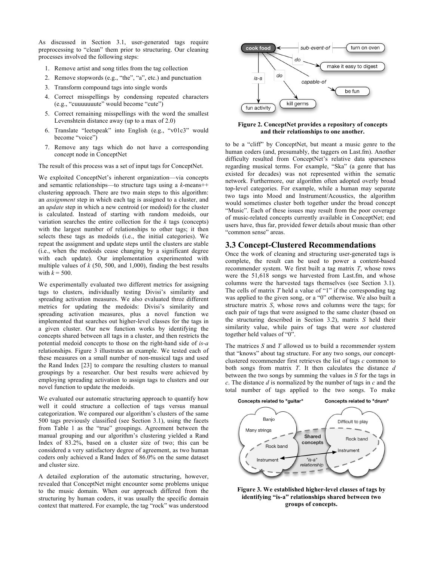As discussed in Section 3.1, user-generated tags require preprocessing to "clean" them prior to structuring. Our cleaning processes involved the following steps:

- 1. Remove artist and song titles from the tag collection
- 2. Remove stopwords (e.g., "the", "a", etc.) and punctuation
- 3. Transform compound tags into single words
- 4. Correct misspellings by condensing repeated characters (e.g., "cuuuuuuute" would become "cute")
- 5. Correct remaining misspellings with the word the smallest Levenshtein distance away (up to a max of 2.0)
- 6. Translate "leetspeak" into English (e.g., "v01c3" would become "voice")
- 7. Remove any tags which do not have a corresponding concept node in ConceptNet

The result of this process was a set of input tags for ConceptNet.

We exploited ConceptNet's inherent organization—via concepts and semantic relationships—to structure tags using a *k*-means++ clustering approach. There are two main steps to this algorithm: an *assignment* step in which each tag is assigned to a cluster, and an *update* step in which a new centroid (or medoid) for the cluster is calculated. Instead of starting with random medoids, our variation searches the entire collection for the *k* tags (concepts) with the largest number of relationships to other tags; it then selects these tags as medoids (i.e., the initial categories). We repeat the assignment and update steps until the clusters are stable (i.e., when the medoids cease changing by a significant degree with each update). Our implementation experimented with multiple values of *k* (50, 500, and 1,000), finding the best results with  $k = 500$ .

We experimentally evaluated two different metrics for assigning tags to clusters, individually testing Divisi's similarity and spreading activation measures. We also evaluated three different metrics for updating the medoids: Divisi's similarity and spreading activation measures, plus a novel function we implemented that searches out higher-level classes for the tags in a given cluster. Our new function works by identifying the concepts shared between all tags in a cluster, and then restricts the potential medoid concepts to those on the right-hand side of *is-a* relationships. Figure 3 illustrates an example. We tested each of these measures on a small number of non-musical tags and used the Rand Index [23] to compare the resulting clusters to manual groupings by a researcher. Our best results were achieved by employing spreading activation to assign tags to clusters and our novel function to update the medoids.

We evaluated our automatic structuring approach to quantify how well it could structure a collection of tags versus manual categorization. We compared our algorithm's clusters of the same 500 tags previously classified (see Section 3.1), using the facets from Table 1 as the "true" groupings. Agreement between the manual grouping and our algorithm's clustering yielded a Rand Index of 83.2%, based on a cluster size of two; this can be considered a very satisfactory degree of agreement, as two human coders only achieved a Rand Index of 86.0% on the same dataset and cluster size.

A detailed exploration of the automatic structuring, however, revealed that ConceptNet might encounter some problems unique to the music domain. When our approach differed from the structuring by human coders, it was usually the specific domain context that mattered. For example, the tag "rock" was understood



#### **Figure 2. ConceptNet provides a repository of concepts and their relationships to one another.**

to be a "cliff" by ConceptNet, but meant a music genre to the human coders (and, presumably, the taggers on Last.fm). Another difficulty resulted from ConceptNet's relative data sparseness regarding musical terms. For example, "Ska" (a genre that has existed for decades) was not represented within the sematic network. Furthermore, our algorithm often adopted overly broad top-level categories. For example, while a human may separate two tags into Mood and Instrument/Acoustics, the algorithm would sometimes cluster both together under the broad concept "Music". Each of these issues may result from the poor coverage of music-related concepts currently available in ConceptNet; end users have, thus far, provided fewer details about music than other "common sense" areas.

### **3.3 Concept-Clustered Recommendations**

Once the work of cleaning and structuring user-generated tags is complete, the result can be used to power a content-based recommender system. We first built a tag matrix *T*, whose rows were the 51,618 songs we harvested from Last.fm, and whose columns were the harvested tags themselves (see Section 3.1). The cells of matrix *T* held a value of "1" if the corresponding tag was applied to the given song, or a "0" otherwise. We also built a structure matrix *S*, whose rows and columns were the tags; for each pair of tags that were assigned to the same cluster (based on the structuring described in Section 3.2), matrix *S* held their similarity value, while pairs of tags that were *not* clustered together held values of "0".

The matrices *S* and *T* allowed us to build a recommender system that "knows" about tag structure. For any two songs, our conceptclustered recommender first retrieves the list of tags *c* common to both songs from matrix *T*. It then calculates the distance *d* between the two songs by summing the values in *S* for the tags in *c*. The distance *d* is normalized by the number of tags in *c* and the total number of tags applied to the two songs. To make





**Figure 3. We established higher-level classes of tags by identifying "is-a" relationships shared between two groups of concepts.**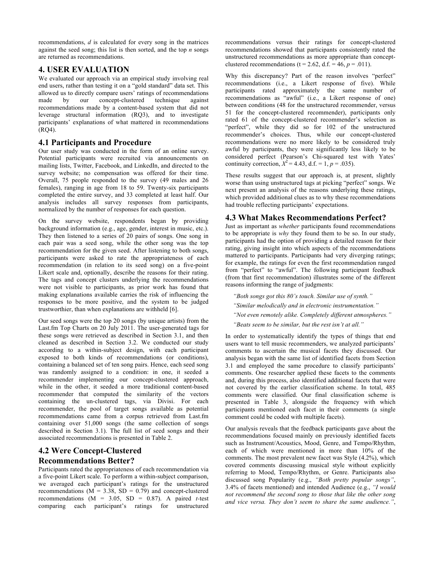recommendations, *d* is calculated for every song in the matrices against the seed song; this list is then sorted, and the top *n* songs are returned as recommendations.

## **4. USER EVALUATION**

We evaluated our approach via an empirical study involving real end users, rather than testing it on a "gold standard" data set. This allowed us to directly compare users' ratings of recommendations made by our concept-clustered technique against recommendations made by a content-based system that did not leverage structural information (RQ3), and to investigate participants' explanations of what mattered in recommendations (RQ4).

## **4.1 Participants and Procedure**

Our user study was conducted in the form of an online survey. Potential participants were recruited via announcements on mailing lists, Twitter, Facebook, and LinkedIn, and directed to the survey website; no compensation was offered for their time. Overall, 75 people responded to the survey (49 males and 26 females), ranging in age from 18 to 59. Twenty-six participants completed the entire survey, and 33 completed at least half. Our analysis includes all survey responses from participants, normalized by the number of responses for each question.

On the survey website, respondents began by providing background information (e.g., age, gender, interest in music, etc.). They then listened to a series of 20 pairs of songs. One song in each pair was a seed song, while the other song was the top recommendation for the given seed. After listening to both songs, participants were asked to rate the appropriateness of each recommendation (in relation to its seed song) on a five-point Likert scale and, optionally, describe the reasons for their rating. The tags and concept clusters underlying the recommendations were not visible to participants, as prior work has found that making explanations available carries the risk of influencing the responses to be more positive, and the system to be judged trustworthier, than when explanations are withheld [6].

Our seed songs were the top 20 songs (by unique artists) from the Last.fm Top Charts on 20 July 2011. The user-generated tags for these songs were retrieved as described in Section 3.1, and then cleaned as described in Section 3.2. We conducted our study according to a within-subject design, with each participant exposed to both kinds of recommendations (or conditions), containing a balanced set of ten song pairs. Hence, each seed song was randomly assigned to a condition: in one, it seeded a recommender implementing our concept-clustered approach, while in the other, it seeded a more traditional content-based recommender that computed the similarity of the vectors containing the un-clustered tags, via Divisi. For each recommender, the pool of target songs available as potential recommendations came from a corpus retrieved from Last.fm containing over 51,000 songs (the same collection of songs described in Section 3.1). The full list of seed songs and their associated recommendations is presented in Table 2.

## **4.2 Were Concept-Clustered Recommendations Better?**

Participants rated the appropriateness of each recommendation via a five-point Likert scale. To perform a within-subject comparison, we averaged each participant's ratings for the unstructured recommendations ( $\overrightarrow{M}$  = 3.38, SD = 0.79) and concept-clustered recommendations  $(M = 3.05, SD = 0.87)$ . A paired *t*-test comparing each participant's ratings for unstructured recommendations versus their ratings for concept-clustered recommendations showed that participants consistently rated the unstructured recommendations as more appropriate than conceptclustered recommendations ( $t = 2.62$ , d.f. = 46,  $p = .011$ ).

Why this discrepancy? Part of the reason involves "perfect" recommendations (i.e., a Likert response of five). While participants rated approximately the same number of recommendations as "awful" (i.e., a Likert response of one) between conditions (48 for the unstructured recommender, versus 51 for the concept-clustered recommender), participants only rated 61 of the concept-clustered recommender's selection as "perfect", while they did so for 102 of the unstructured recommender's choices. Thus, while our concept-clustered recommendations were no more likely to be considered truly awful by participants, they were significantly less likely to be considered perfect (Pearson's Chi-squared test with Yates' continuity correction,  $X^2 = 4.43$ , d.f. = 1,  $p = .035$ ).

These results suggest that our approach is, at present, slightly worse than using unstructured tags at picking "perfect" songs. We next present an analysis of the reasons underlying these ratings, which provided additional clues as to why these recommendations had trouble reflecting participants' expectations.

## **4.3 What Makes Recommendations Perfect?**

Just as important as *whether* participants found recommendations to be appropriate is *why* they found them to be so. In our study, participants had the option of providing a detailed reason for their rating, giving insight into which aspects of the recommendations mattered to participants. Participants had very diverging ratings; for example, the ratings for even the first recommendation ranged from "perfect" to "awful". The following participant feedback (from that first recommendation) illustrates some of the different reasons informing the range of judgments:

*"Both songs got this 80's touch. Similar use of synth." "Similar melodically and in electronic instrumentation."*

- *"Not even remotely alike. Completely different atmospheres."*
- *"Beats seem to be similar, but the rest isn't at all."*

In order to systematically identify the types of things that end users want to tell music recommenders, we analyzed participants' comments to ascertain the musical facets they discussed. Our analysis began with the same list of identified facets from Section 3.1 and employed the same procedure to classify participants' comments. One researcher applied these facets to the comments and, during this process, also identified additional facets that were not covered by the earlier classification scheme. In total, 485 comments were classified. Our final classification scheme is presented in Table 3, alongside the frequency with which participants mentioned each facet in their comments (a single comment could be coded with multiple facets).

Our analysis reveals that the feedback participants gave about the recommendations focused mainly on previously identified facets such as Instrument/Acoustics, Mood, Genre, and Tempo/Rhythm, each of which were mentioned in more than 10% of the comments. The most prevalent new facet was Style (4.2%), which covered comments discussing musical style without explicitly referring to Mood, Tempo/Rhythm, or Genre. Participants also discussed song Popularity (e.g., *"Both pretty popular songs"*, 3.4% of facets mentioned) and intended Audience (e.g., *"I would not recommend the second song to those that like the other song and vice versa. They don't seem to share the same audience."*,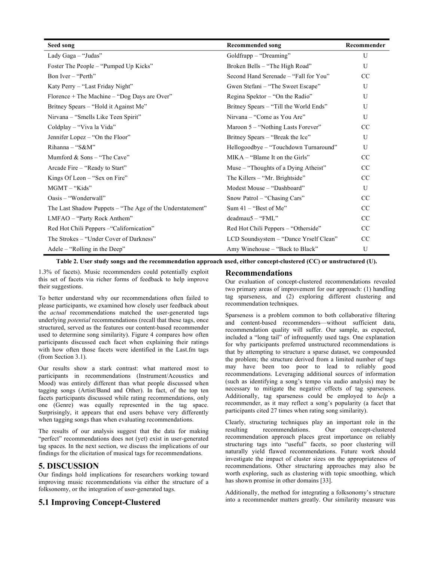| Seed song                                                 | <b>Recommended song</b>                | Recommender   |
|-----------------------------------------------------------|----------------------------------------|---------------|
| Lady Gaga - "Judas"                                       | Goldfrapp - "Dreaming"                 | U             |
| Foster The People – "Pumped Up Kicks"                     | Broken Bells – "The High Road"         | U             |
| Bon Iver – "Perth"                                        | Second Hand Serenade - "Fall for You"  | CC            |
| Katy Perry - "Last Friday Night"                          | Gwen Stefani – "The Sweet Escape"      | U             |
| Florence + The Machine - "Dog Days are Over"              | Regina Spektor – "On the Radio"        | U             |
| Britney Spears – "Hold it Against Me"                     | Britney Spears – "Till the World Ends" | U             |
| Nirvana – "Smells Like Teen Spirit"                       | Nirvana – "Come as You Are"            | $\mathbf{U}$  |
| Coldplay – "Viva la Vida"                                 | Maroon 5 - "Nothing Lasts Forever"     | <sub>CC</sub> |
| Jennifer Lopez – "On the Floor"                           | Britney Spears – "Break the Ice"       | U             |
| $Rihanna - "S&M"$                                         | Hellogoodbye – "Touchdown Turnaround"  | U             |
| Mumford & Sons - "The Cave"                               | $MIKA - "Blame It on the Girls"$       | CC            |
| Arcade Fire – "Ready to Start"                            | Muse – "Thoughts of a Dying Atheist"   | <sub>CC</sub> |
| Kings Of Leon – "Sex on Fire"                             | The Killers - "Mr. Brightside"         | CC            |
| MGMT – "Kids"                                             | Modest Mouse – "Dashboard"             | U             |
| Oasis – "Wonderwall"                                      | Snow Patrol - "Chasing Cars"           | <sub>CC</sub> |
| The Last Shadow Puppets – "The Age of the Understatement" | Sum $41 -$ "Best of Me"                | CC            |
| LMFAO - "Party Rock Anthem"                               | $deadmau5 - "FML"$                     | CC            |
| Red Hot Chili Peppers – "Californication"                 | Red Hot Chili Peppers – "Otherside"    | <sub>CC</sub> |
| The Strokes - "Under Cover of Darkness"                   | LCD Soundsystem - "Dance Yrself Clean" | CC            |
| Adele – "Rolling in the Deep"                             | Amy Winehouse – "Back to Black"        | U             |

#### **Table 2. User study songs and the recommendation approach used, either concept-clustered (CC) or unstructured (U).**

1.3% of facets). Music recommenders could potentially exploit this set of facets via richer forms of feedback to help improve their suggestions.

To better understand why our recommendations often failed to please participants, we examined how closely user feedback about the *actual* recommendations matched the user-generated tags underlying *potential* recommendations (recall that these tags, once structured, served as the features our content-based recommender used to determine song similarity). Figure 4 compares how often participants discussed each facet when explaining their ratings with how often those facets were identified in the Last.fm tags (from Section 3.1).

Our results show a stark contrast: what mattered most to participants in recommendations (Instrument/Acoustics and Mood) was entirely different than what people discussed when tagging songs (Artist/Band and Other). In fact, of the top ten facets participants discussed while rating recommendations, only one (Genre) was equally represented in the tag space. Surprisingly, it appears that end users behave very differently when tagging songs than when evaluating recommendations.

The results of our analysis suggest that the data for making "perfect" recommendations does not (yet) exist in user-generated tag spaces. In the next section, we discuss the implications of our findings for the elicitation of musical tags for recommendations.

## **5. DISCUSSION**

Our findings hold implications for researchers working toward improving music recommendations via either the structure of a folksonomy, or the integration of user-generated tags.

## **5.1 Improving Concept-Clustered**

## **Recommendations**

Our evaluation of concept-clustered recommendations revealed two primary areas of improvement for our approach: (1) handling tag sparseness, and (2) exploring different clustering and recommendation techniques.

Sparseness is a problem common to both collaborative filtering and content-based recommenders—without sufficient data, recommendation quality will suffer. Our sample, as expected, included a "long tail" of infrequently used tags. One explanation for why participants preferred unstructured recommendations is that by attempting to structure a sparse dataset, we compounded the problem; the structure derived from a limited number of tags may have been too poor to lead to reliably good recommendations. Leveraging additional sources of information (such as identifying a song's tempo via audio analysis) may be necessary to mitigate the negative effects of tag sparseness. Additionally, tag sparseness could be employed to *help* a recommender, as it may reflect a song's popularity (a facet that participants cited 27 times when rating song similarity).

Clearly, structuring techniques play an important role in the resulting recommendations. Our concept-clustered recommendation approach places great importance on reliably structuring tags into "useful" facets, so poor clustering will naturally yield flawed recommendations. Future work should investigate the impact of cluster sizes on the appropriateness of recommendations. Other structuring approaches may also be worth exploring, such as clustering with topic smoothing, which has shown promise in other domains [33].

Additionally, the method for integrating a folksonomy's structure into a recommender matters greatly. Our similarity measure was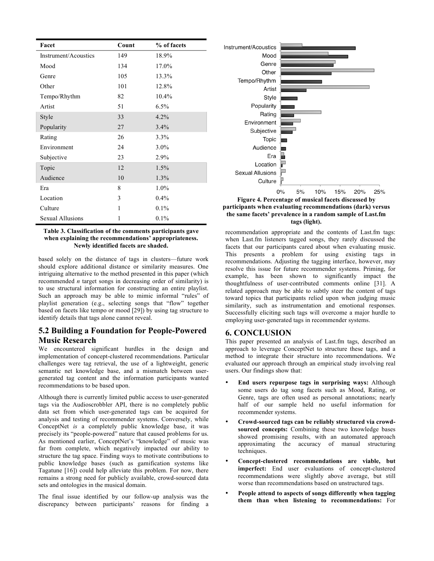| Facet                | Count | % of facets |
|----------------------|-------|-------------|
| Instrument/Acoustics | 149   | 18.9%       |
| Mood                 | 134   | 17.0%       |
| Genre                | 105   | 13.3%       |
| Other                | 101   | 12.8%       |
| Tempo/Rhythm         | 82    | 10.4%       |
| Artist               | 51    | 6.5%        |
| Style                | 33    | 4.2%        |
| Popularity           | 27    | 3.4%        |
| Rating               | 26    | 3.3%        |
| Environment          | 24    | $3.0\%$     |
| Subjective           | 23    | 2.9%        |
| Topic                | 12    | 1.5%        |
| Audience             | 10    | 1.3%        |
| Era                  | 8     | 1.0%        |
| Location             | 3     | $0.4\%$     |
| Culture              | 1     | 0.1%        |
| Sexual Allusions     | 1     | 0.1%        |

**Table 3. Classification of the comments participants gave when explaining the recommendations' appropriateness. Newly identified facets are shaded.**

based solely on the distance of tags in clusters—future work should explore additional distance or similarity measures. One intriguing alternative to the method presented in this paper (which recommended *n* target songs in decreasing order of similarity) is to use structural information for constructing an entire playlist. Such an approach may be able to mimic informal "rules" of playlist generation (e.g., selecting songs that "flow" together based on facets like tempo or mood [29]) by using tag structure to identify details that tags alone cannot reveal.

## **5.2 Building a Foundation for People-Powered Music Research**

We encountered significant hurdles in the design and implementation of concept-clustered recommendations. Particular challenges were tag retrieval, the use of a lightweight, generic semantic net knowledge base, and a mismatch between usergenerated tag content and the information participants wanted recommendations to be based upon.

Although there is currently limited public access to user-generated tags via the Audioscrobbler API, there is no completely public data set from which user-generated tags can be acquired for analysis and testing of recommender systems. Conversely, while ConceptNet *is* a completely public knowledge base, it was precisely its "people-powered" nature that caused problems for us. As mentioned earlier, ConceptNet's "knowledge" of music was far from complete, which negatively impacted our ability to structure the tag space. Finding ways to motivate contributions to public knowledge bases (such as gamification systems like Tagatune [16]) could help alleviate this problem. For now, there remains a strong need for publicly available, crowd-sourced data sets and ontologies in the musical domain.

The final issue identified by our follow-up analysis was the discrepancy between participants' reasons for finding a



**Figure 4. Percentage of musical facets discussed by participants when evaluating recommendations (dark) versus the same facets' prevalence in a random sample of Last.fm tags (light).**

recommendation appropriate and the contents of Last.fm tags: when Last.fm listeners tagged songs, they rarely discussed the facets that our participants cared about when evaluating music. This presents a problem for using existing tags in recommendations. Adjusting the tagging interface, however, may resolve this issue for future recommender systems. Priming, for example, has been shown to significantly impact the thoughtfulness of user-contributed comments online [31]. A related approach may be able to subtly steer the content of tags toward topics that participants relied upon when judging music similarity, such as instrumentation and emotional responses. Successfully eliciting such tags will overcome a major hurdle to employing user-generated tags in recommender systems.

## **6. CONCLUSION**

This paper presented an analysis of Last.fm tags, described an approach to leverage ConceptNet to structure these tags, and a method to integrate their structure into recommendations. We evaluated our approach through an empirical study involving real users. Our findings show that:

- **End users repurpose tags in surprising ways:** Although some users do tag song facets such as Mood, Rating, or Genre, tags are often used as personal annotations; nearly half of our sample held no useful information for recommender systems.
- **Crowd-sourced tags can be reliably structured via crowdsourced concepts:** Combining these two knowledge bases showed promising results, with an automated approach approximating the accuracy of manual structuring techniques.
- **Concept-clustered recommendations are viable, but imperfect:** End user evaluations of concept-clustered recommendations were slightly above average, but still worse than recommendations based on unstructured tags.
- **People attend to aspects of songs differently when tagging them than when listening to recommendations:** For